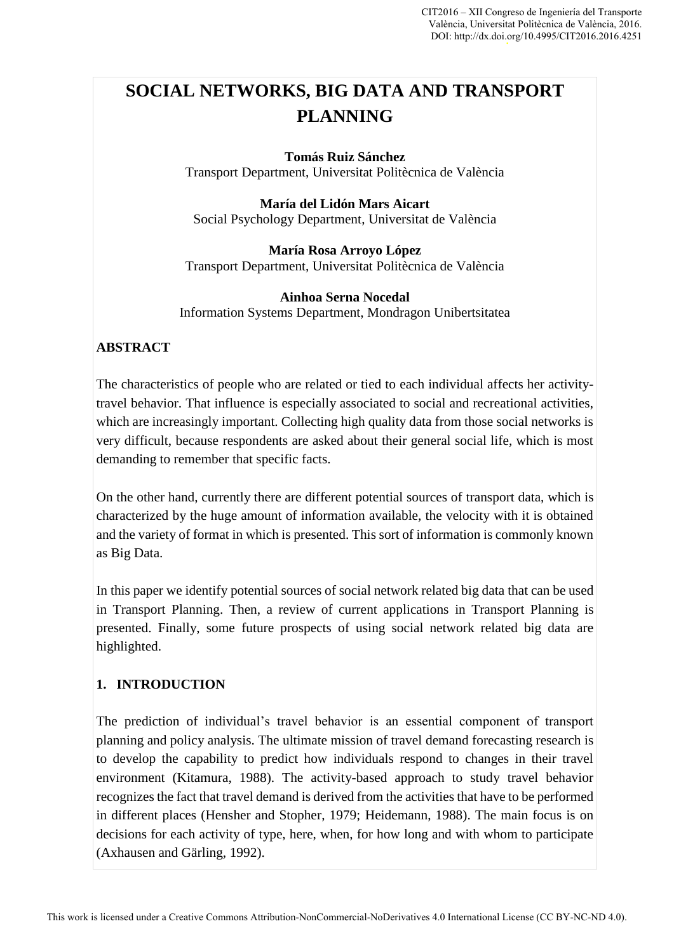# **SOCIAL NETWORKS, BIG DATA AND TRANSPORT PLANNING**

#### **Tomás Ruiz Sánchez**

Transport Department, Universitat Politècnica de València

**María del Lidón Mars Aicart**  Social Psychology Department, Universitat de València

**María Rosa Arroyo López**  Transport Department, Universitat Politècnica de València

#### **Ainhoa Serna Nocedal**

Information Systems Department, Mondragon Unibertsitatea

#### **ABSTRACT**

The characteristics of people who are related or tied to each individual affects her activitytravel behavior. That influence is especially associated to social and recreational activities, which are increasingly important. Collecting high quality data from those social networks is very difficult, because respondents are asked about their general social life, which is most demanding to remember that specific facts.

On the other hand, currently there are different potential sources of transport data, which is characterized by the huge amount of information available, the velocity with it is obtained and the variety of format in which is presented. This sort of information is commonly known as Big Data.

In this paper we identify potential sources of social network related big data that can be used in Transport Planning. Then, a review of current applications in Transport Planning is presented. Finally, some future prospects of using social network related big data are highlighted.

#### **1. INTRODUCTION**

The prediction of individual's travel behavior is an essential component of transport planning and policy analysis. The ultimate mission of travel demand forecasting research is to develop the capability to predict how individuals respond to changes in their travel environment (Kitamura, 1988). The activity-based approach to study travel behavior recognizes the fact that travel demand is derived from the activities that have to be performed in different places (Hensher and Stopher, 1979; Heidemann, 1988). The main focus is on decisions for each activity of type, here, when, for how long and with whom to participate (Axhausen and Gärling, 1992).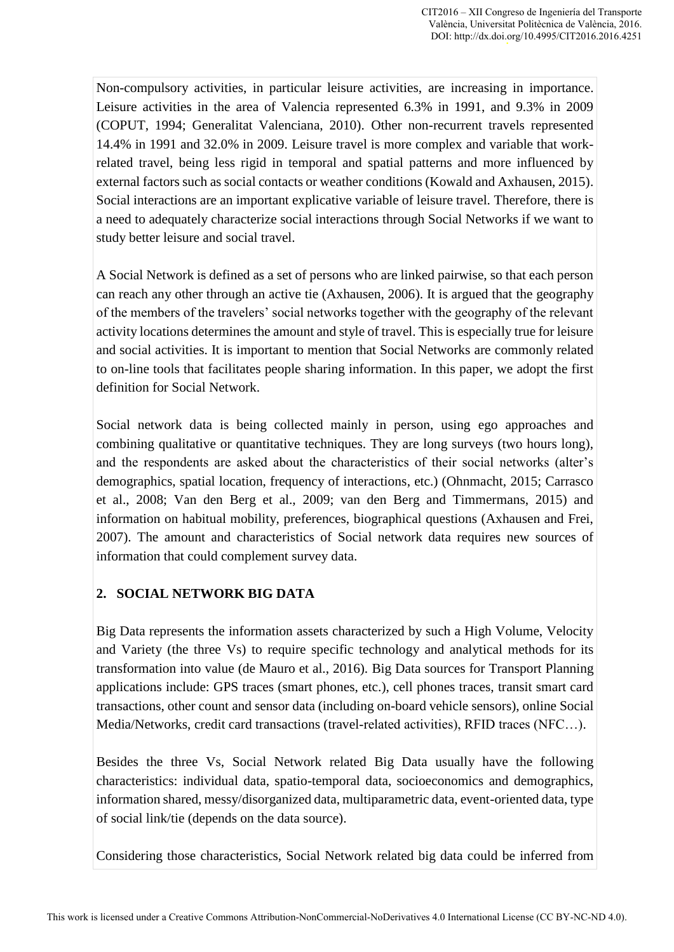Non-compulsory activities, in particular leisure activities, are increasing in importance. Leisure activities in the area of Valencia represented 6.3% in 1991, and 9.3% in 2009 (COPUT, 1994; Generalitat Valenciana, 2010). Other non-recurrent travels represented 14.4% in 1991 and 32.0% in 2009. Leisure travel is more complex and variable that workrelated travel, being less rigid in temporal and spatial patterns and more influenced by external factors such as social contacts or weather conditions (Kowald and Axhausen, 2015). Social interactions are an important explicative variable of leisure travel. Therefore, there is a need to adequately characterize social interactions through Social Networks if we want to study better leisure and social travel.

A Social Network is defined as a set of persons who are linked pairwise, so that each person can reach any other through an active tie (Axhausen, 2006). It is argued that the geography of the members of the travelers' social networks together with the geography of the relevant activity locations determines the amount and style of travel. This is especially true for leisure and social activities. It is important to mention that Social Networks are commonly related to on-line tools that facilitates people sharing information. In this paper, we adopt the first definition for Social Network.

Social network data is being collected mainly in person, using ego approaches and combining qualitative or quantitative techniques. They are long surveys (two hours long), and the respondents are asked about the characteristics of their social networks (alter's demographics, spatial location, frequency of interactions, etc.) (Ohnmacht, 2015; Carrasco et al., 2008; Van den Berg et al., 2009; van den Berg and Timmermans, 2015) and information on habitual mobility, preferences, biographical questions (Axhausen and Frei, 2007). The amount and characteristics of Social network data requires new sources of information that could complement survey data.

## **2. SOCIAL NETWORK BIG DATA**

Big Data represents the information assets characterized by such a High Volume, Velocity and Variety (the three Vs) to require specific technology and analytical methods for its transformation into value (de Mauro et al., 2016). Big Data sources for Transport Planning applications include: GPS traces (smart phones, etc.), cell phones traces, transit smart card transactions, other count and sensor data (including on-board vehicle sensors), online Social Media/Networks, credit card transactions (travel-related activities), RFID traces (NFC…).

Besides the three Vs, Social Network related Big Data usually have the following characteristics: individual data, spatio-temporal data, socioeconomics and demographics, information shared, messy/disorganized data, multiparametric data, event-oriented data, type of social link/tie (depends on the data source).

Considering those characteristics, Social Network related big data could be inferred from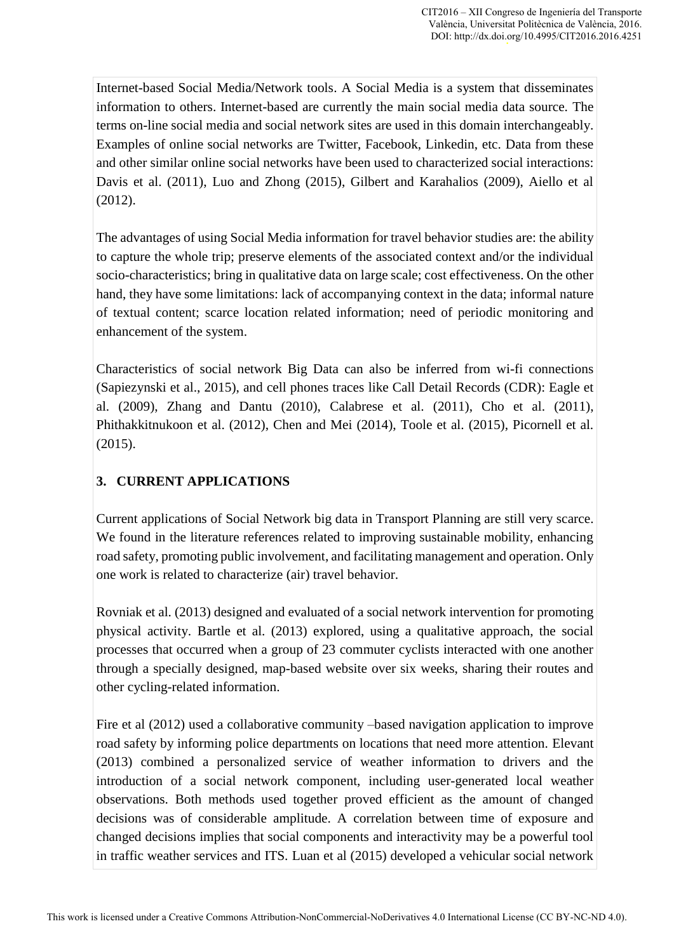Internet-based Social Media/Network tools. A Social Media is a system that disseminates information to others. Internet-based are currently the main social media data source. The terms on-line social media and social network sites are used in this domain interchangeably. Examples of online social networks are Twitter, Facebook, Linkedin, etc. Data from these and other similar online social networks have been used to characterized social interactions: Davis et al. (2011), Luo and Zhong (2015), Gilbert and Karahalios (2009), Aiello et al (2012).

The advantages of using Social Media information for travel behavior studies are: the ability to capture the whole trip; preserve elements of the associated context and/or the individual socio-characteristics; bring in qualitative data on large scale; cost effectiveness. On the other hand, they have some limitations: lack of accompanying context in the data; informal nature of textual content; scarce location related information; need of periodic monitoring and enhancement of the system.

Characteristics of social network Big Data can also be inferred from wi-fi connections (Sapiezynski et al., 2015), and cell phones traces like Call Detail Records (CDR): Eagle et al. (2009), Zhang and Dantu (2010), Calabrese et al. (2011), Cho et al. (2011), Phithakkitnukoon et al. (2012), Chen and Mei (2014), Toole et al. (2015), Picornell et al. (2015).

## **3. CURRENT APPLICATIONS**

Current applications of Social Network big data in Transport Planning are still very scarce. We found in the literature references related to improving sustainable mobility, enhancing road safety, promoting public involvement, and facilitating management and operation. Only one work is related to characterize (air) travel behavior.

Rovniak et al. (2013) designed and evaluated of a social network intervention for promoting physical activity. Bartle et al. (2013) explored, using a qualitative approach, the social processes that occurred when a group of 23 commuter cyclists interacted with one another through a specially designed, map-based website over six weeks, sharing their routes and other cycling-related information.

Fire et al (2012) used a collaborative community –based navigation application to improve road safety by informing police departments on locations that need more attention. Elevant (2013) combined a personalized service of weather information to drivers and the introduction of a social network component, including user-generated local weather observations. Both methods used together proved efficient as the amount of changed decisions was of considerable amplitude. A correlation between time of exposure and changed decisions implies that social components and interactivity may be a powerful tool in traffic weather services and ITS. Luan et al (2015) developed a vehicular social network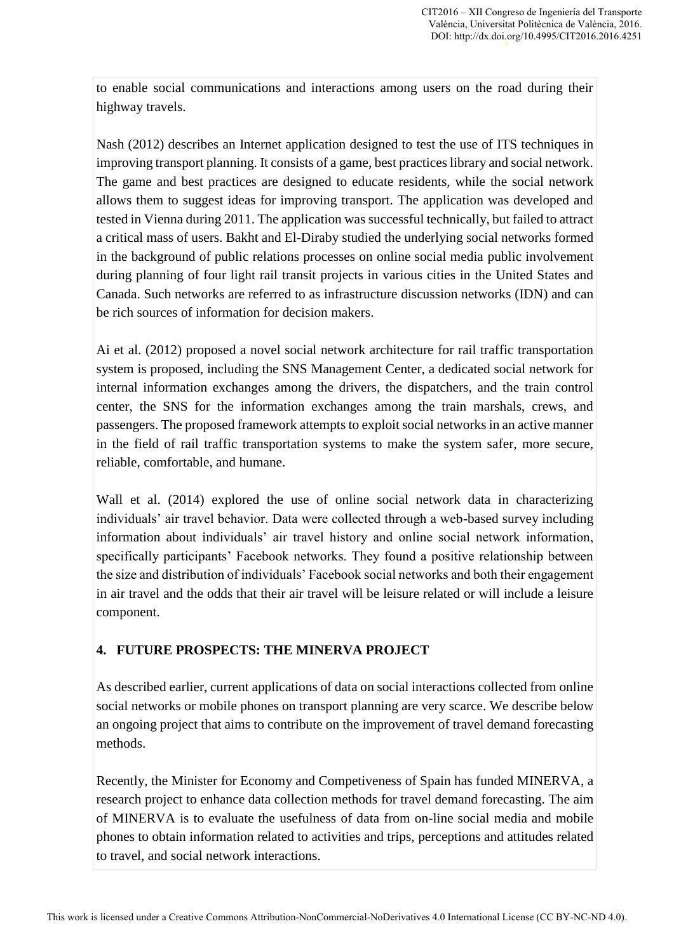to enable social communications and interactions among users on the road during their highway travels.

Nash (2012) describes an Internet application designed to test the use of ITS techniques in improving transport planning. It consists of a game, best practices library and social network. The game and best practices are designed to educate residents, while the social network allows them to suggest ideas for improving transport. The application was developed and tested in Vienna during 2011. The application was successful technically, but failed to attract a critical mass of users. Bakht and El-Diraby studied the underlying social networks formed in the background of public relations processes on online social media public involvement during planning of four light rail transit projects in various cities in the United States and Canada. Such networks are referred to as infrastructure discussion networks (IDN) and can be rich sources of information for decision makers.

Ai et al. (2012) proposed a novel social network architecture for rail traffic transportation system is proposed, including the SNS Management Center, a dedicated social network for internal information exchanges among the drivers, the dispatchers, and the train control center, the SNS for the information exchanges among the train marshals, crews, and passengers. The proposed framework attempts to exploit social networks in an active manner in the field of rail traffic transportation systems to make the system safer, more secure, reliable, comfortable, and humane.

Wall et al. (2014) explored the use of online social network data in characterizing individuals' air travel behavior. Data were collected through a web-based survey including information about individuals' air travel history and online social network information, specifically participants' Facebook networks. They found a positive relationship between the size and distribution of individuals' Facebook social networks and both their engagement in air travel and the odds that their air travel will be leisure related or will include a leisure component.

## **4. FUTURE PROSPECTS: THE MINERVA PROJECT**

As described earlier, current applications of data on social interactions collected from online social networks or mobile phones on transport planning are very scarce. We describe below an ongoing project that aims to contribute on the improvement of travel demand forecasting methods.

Recently, the Minister for Economy and Competiveness of Spain has funded MINERVA, a research project to enhance data collection methods for travel demand forecasting. The aim of MINERVA is to evaluate the usefulness of data from on-line social media and mobile phones to obtain information related to activities and trips, perceptions and attitudes related to travel, and social network interactions.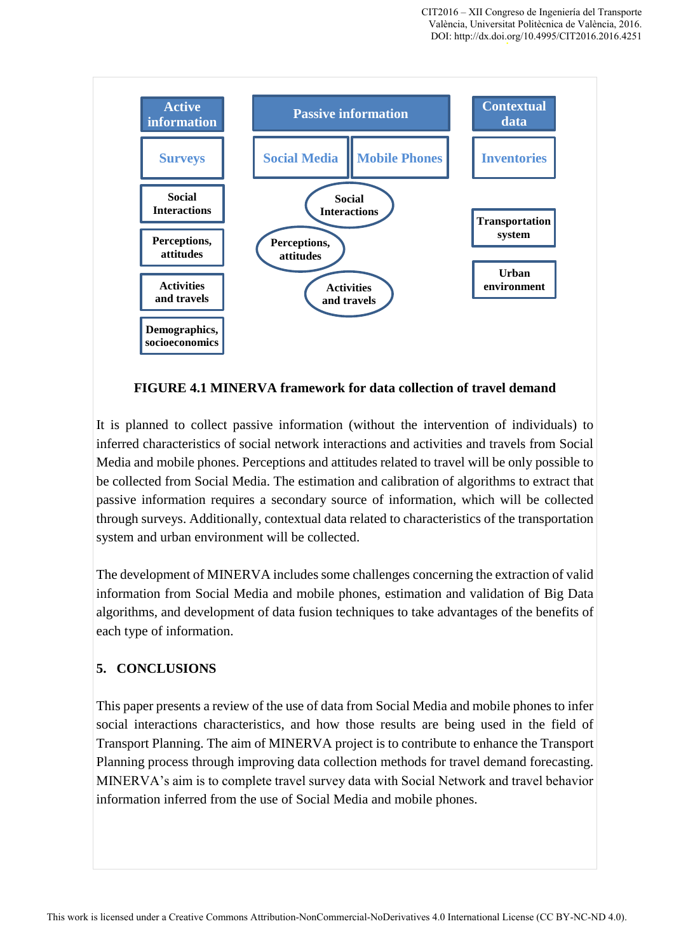

**FIGURE 4.1 MINERVA framework for data collection of travel demand** 

It is planned to collect passive information (without the intervention of individuals) to inferred characteristics of social network interactions and activities and travels from Social Media and mobile phones. Perceptions and attitudes related to travel will be only possible to be collected from Social Media. The estimation and calibration of algorithms to extract that passive information requires a secondary source of information, which will be collected through surveys. Additionally, contextual data related to characteristics of the transportation system and urban environment will be collected.

The development of MINERVA includes some challenges concerning the extraction of valid information from Social Media and mobile phones, estimation and validation of Big Data algorithms, and development of data fusion techniques to take advantages of the benefits of each type of information.

## **5. CONCLUSIONS**

This paper presents a review of the use of data from Social Media and mobile phones to infer social interactions characteristics, and how those results are being used in the field of Transport Planning. The aim of MINERVA project is to contribute to enhance the Transport Planning process through improving data collection methods for travel demand forecasting. MINERVA's aim is to complete travel survey data with Social Network and travel behavior information inferred from the use of Social Media and mobile phones.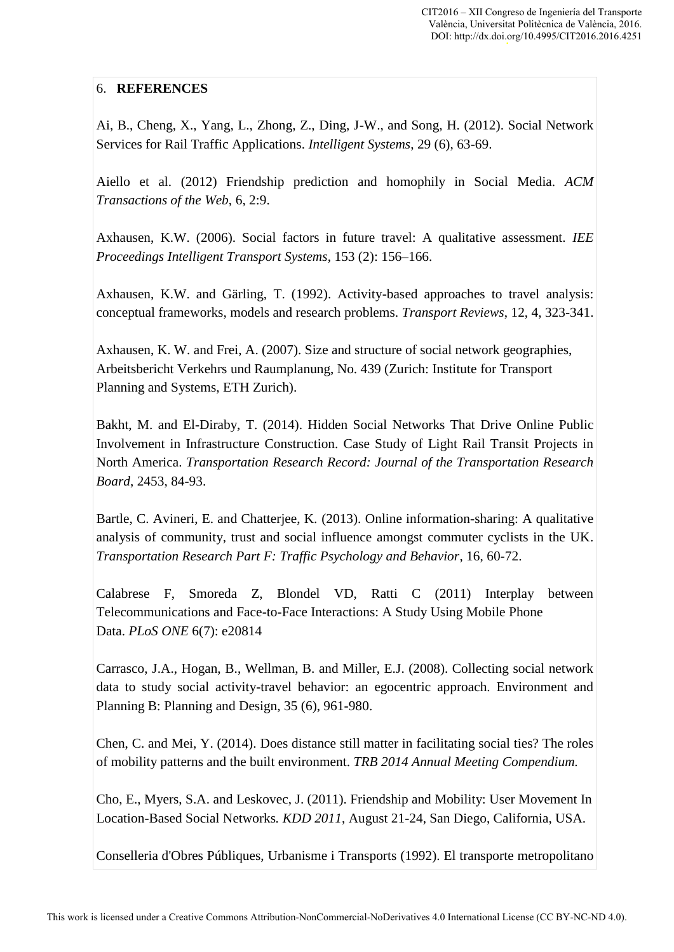## 6. **REFERENCES**

Ai, B., Cheng, X., Yang, L., Zhong, Z., Ding, J-W., and Song, H. (2012). Social Network Services for Rail Traffic Applications. *Intelligent Systems*, 29 (6), 63-69.

Aiello et al. (2012) Friendship prediction and homophily in Social Media. *ACM Transactions of the Web*, 6, 2:9.

Axhausen, K.W. (2006). Social factors in future travel: A qualitative assessment. *IEE Proceedings Intelligent Transport Systems*, 153 (2): 156–166.

Axhausen, K.W. and Gärling, T. (1992). Activity-based approaches to travel analysis: conceptual frameworks, models and research problems. *Transport Reviews*, 12, 4, 323-341.

Axhausen, K. W. and Frei, A. (2007). Size and structure of social network geographies, Arbeitsbericht Verkehrs und Raumplanung, No. 439 (Zurich: Institute for Transport Planning and Systems, ETH Zurich).

Bakht, M. and El-Diraby, T. (2014). Hidden Social Networks That Drive Online Public Involvement in Infrastructure Construction. Case Study of Light Rail Transit Projects in North America. *Transportation Research Record: Journal of the Transportation Research Board*, 2453, 84-93.

Bartle, C. Avineri, E. and Chatterjee, K. (2013). Online information-sharing: A qualitative analysis of community, trust and social influence amongst commuter cyclists in the UK. *Transportation Research Part F: Traffic Psychology and Behavior*, 16, 60-72.

Calabrese F, Smoreda Z, Blondel VD, Ratti C (2011) Interplay between Telecommunications and Face-to-Face Interactions: A Study Using Mobile Phone Data. *PLoS ONE* 6(7): e20814

Carrasco, J.A., Hogan, B., Wellman, B. and Miller, E.J. (2008). Collecting social network data to study social activity-travel behavior: an egocentric approach. Environment and Planning B: Planning and Design, 35 (6), 961-980.

Chen, C. and Mei, Y. (2014). Does distance still matter in facilitating social ties? The roles of mobility patterns and the built environment. *TRB 2014 Annual Meeting Compendium.*

Cho, E., Myers, S.A. and Leskovec, J. (2011). Friendship and Mobility: User Movement In Location-Based Social Networks*. KDD 2011*, August 21-24, San Diego, California, USA.

Conselleria d'Obres Públiques, Urbanisme i Transports (1992). El transporte metropolitano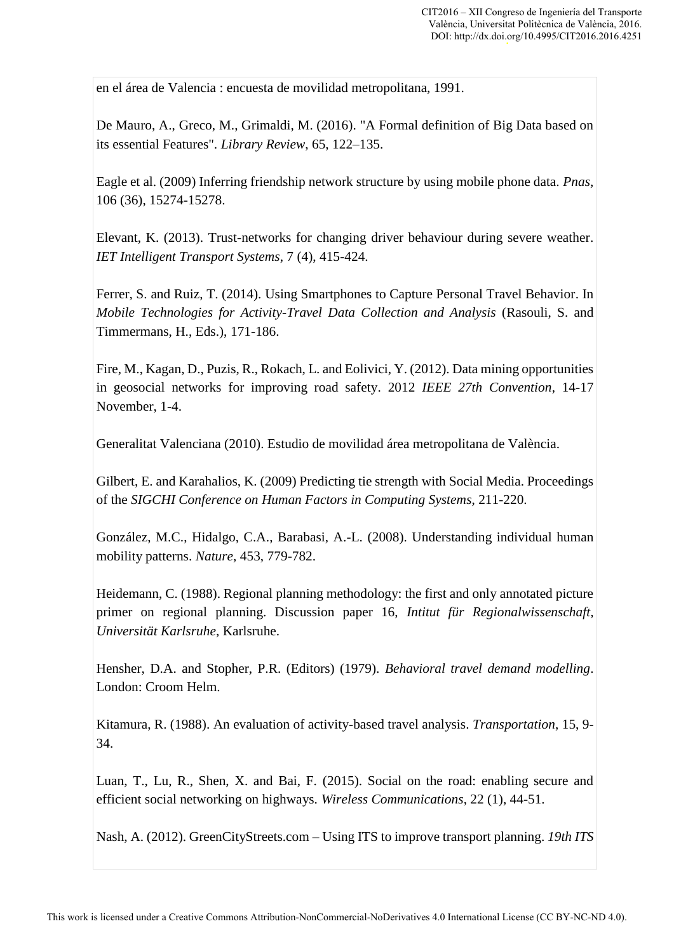en el área de Valencia : encuesta de movilidad metropolitana, 1991.

De Mauro, A., Greco, M., Grimaldi, M. (2016). "A Formal definition of Big Data based on its essential Features". *Library Review*, 65, 122–135.

Eagle et al. (2009) Inferring friendship network structure by using mobile phone data. *Pnas*, 106 (36), 15274-15278.

Elevant, K. (2013). Trust-networks for changing driver behaviour during severe weather. *IET Intelligent Transport Systems*, 7 (4), 415-424.

Ferrer, S. and Ruiz, T. (2014). Using Smartphones to Capture Personal Travel Behavior. In *Mobile Technologies for Activity-Travel Data Collection and Analysis* (Rasouli, S. and Timmermans, H., Eds.), 171-186.

Fire, M., Kagan, D., Puzis, R., Rokach, L. and Eolivici, Y. (2012). Data mining opportunities in geosocial networks for improving road safety. 2012 *IEEE 27th Convention*, 14-17 November, 1-4.

Generalitat Valenciana (2010). Estudio de movilidad área metropolitana de València.

Gilbert, E. and Karahalios, K. (2009) Predicting tie strength with Social Media. Proceedings of the *SIGCHI Conference on Human Factors in Computing Systems*, 211-220.

González, M.C., Hidalgo, C.A., Barabasi, A.-L. (2008). Understanding individual human mobility patterns. *Nature*, 453, 779-782.

Heidemann, C. (1988). Regional planning methodology: the first and only annotated picture primer on regional planning. Discussion paper 16, *Intitut für Regionalwissenschaft, Universität Karlsruhe*, Karlsruhe.

Hensher, D.A. and Stopher, P.R. (Editors) (1979). *Behavioral travel demand modelling*. London: Croom Helm.

Kitamura, R. (1988). An evaluation of activity-based travel analysis. *Transportation*, 15, 9- 34.

Luan, T., Lu, R., Shen, X. and Bai, F. (2015). Social on the road: enabling secure and efficient social networking on highways. *Wireless Communications*, 22 (1), 44-51.

Nash, A. (2012). GreenCityStreets.com – Using ITS to improve transport planning. *19th ITS*